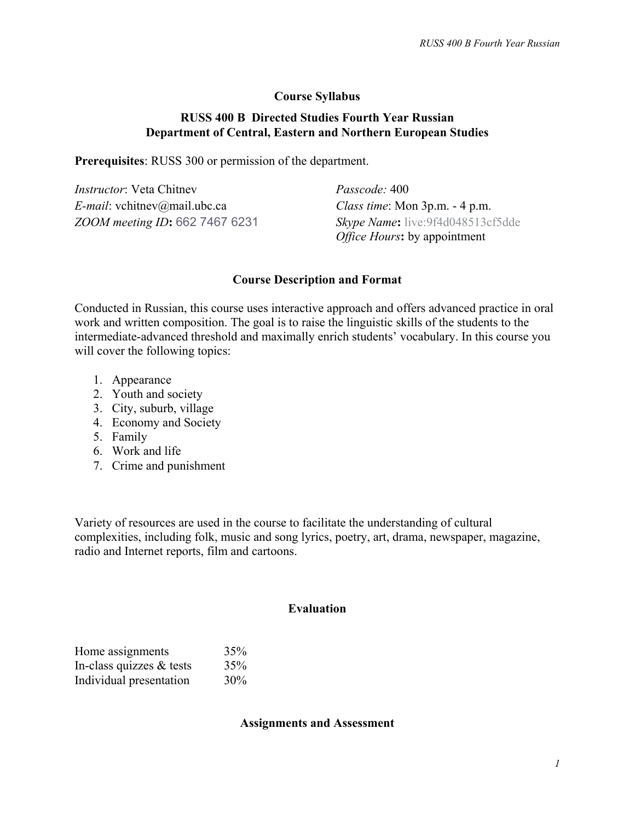## **Course Syllabus**

### **RUSS 400 B Directed Studies Fourth Year Russian Department of Central, Eastern and Northern European Studies**

**Prerequisites**: RUSS 300 or permission of the department.

| <i>Instructor</i> : Veta Chitney | Passcode: 400                                                            |
|----------------------------------|--------------------------------------------------------------------------|
| $E$ -mail: vchitnev@mail.ubc.ca  | Class time: Mon 3p.m. - 4 p.m.                                           |
| ZOOM meeting ID: 662 7467 6231   | Skype Name: live:9f4d048513cf5dde<br><i>Office Hours:</i> by appointment |

#### **Course Description and Format**

Conducted in Russian, this course uses interactive approach and offers advanced practice in oral work and written composition. The goal is to raise the linguistic skills of the students to the intermediate-advanced threshold and maximally enrich students' vocabulary. In this course you will cover the following topics:

- 1. Appearance
- 2. Youth and society
- 3. City, suburb, village
- 4. Economy and Society
- 5. Family
- 6. Work and life
- 7. Crime and punishment

Variety of resources are used in the course to facilitate the understanding of cultural complexities, including folk, music and song lyrics, poetry, art, drama, newspaper, magazine, radio and Internet reports, film and cartoons.

#### **Evaluation**

| Home assignments         | 35% |
|--------------------------|-----|
| In-class quizzes & tests | 35% |
| Individual presentation  | 30% |

**Assignments and Assessment**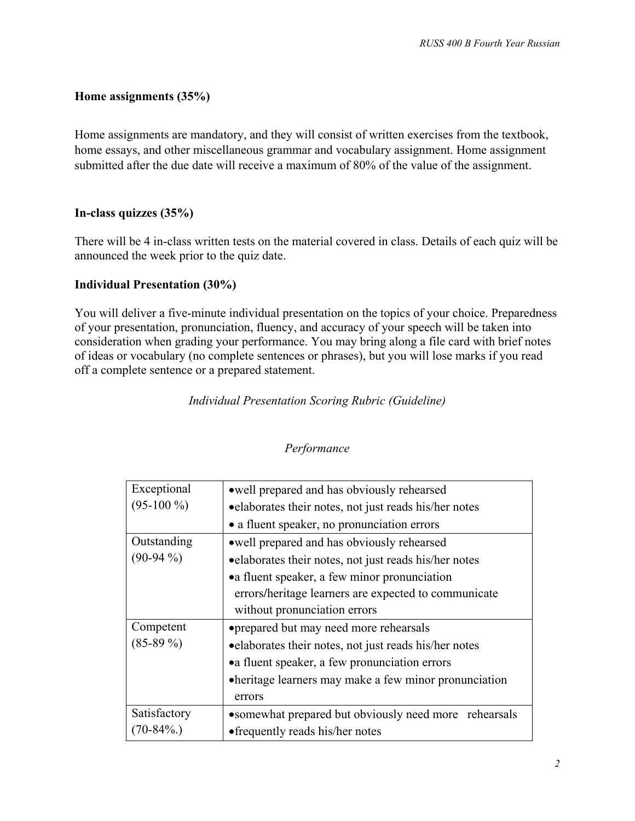## **Home assignments (35%)**

Home assignments are mandatory, and they will consist of written exercises from the textbook, home essays, and other miscellaneous grammar and vocabulary assignment. Home assignment submitted after the due date will receive a maximum of 80% of the value of the assignment.

## **In-class quizzes (35%)**

There will be 4 in-class written tests on the material covered in class. Details of each quiz will be announced the week prior to the quiz date.

### **Individual Presentation (30%)**

You will deliver a five-minute individual presentation on the topics of your choice. Preparedness of your presentation, pronunciation, fluency, and accuracy of your speech will be taken into consideration when grading your performance. You may bring along a file card with brief notes of ideas or vocabulary (no complete sentences or phrases), but you will lose marks if you read off a complete sentence or a prepared statement.

# *Individual Presentation Scoring Rubric (Guideline)*

| Exceptional   | • well prepared and has obviously rehearsed            |
|---------------|--------------------------------------------------------|
| $(95-100\%)$  | • elaborates their notes, not just reads his/her notes |
|               | • a fluent speaker, no pronunciation errors            |
| Outstanding   | • well prepared and has obviously rehearsed            |
| $(90-94\%)$   | • elaborates their notes, not just reads his/her notes |
|               | • a fluent speaker, a few minor pronunciation          |
|               | errors/heritage learners are expected to communicate   |
|               | without pronunciation errors                           |
| Competent     | • prepared but may need more rehearsals                |
| $(85-89\%)$   | • elaborates their notes, not just reads his/her notes |
|               | • a fluent speaker, a few pronunciation errors         |
|               | • heritage learners may make a few minor pronunciation |
|               | errors                                                 |
| Satisfactory  | • somewhat prepared but obviously need more rehearsals |
| $70 - 84\%$ . | • frequently reads his/her notes                       |

#### *Performance*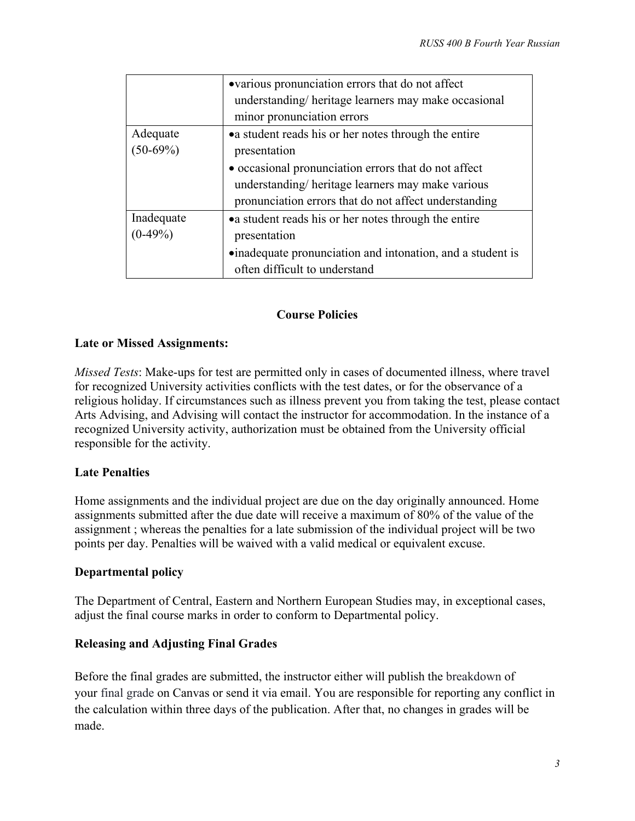|                         | •various pronunciation errors that do not affect<br>understanding/heritage learners may make occasional<br>minor pronunciation errors                             |
|-------------------------|-------------------------------------------------------------------------------------------------------------------------------------------------------------------|
| Adequate<br>$(50-69%)$  | • a student reads his or her notes through the entire<br>presentation                                                                                             |
|                         | • occasional pronunciation errors that do not affect<br>understanding/heritage learners may make various<br>pronunciation errors that do not affect understanding |
| Inadequate<br>$(0-49%)$ | • a student reads his or her notes through the entire<br>presentation<br>•inadequate pronunciation and intonation, and a student is                               |
|                         | often difficult to understand                                                                                                                                     |

# **Course Policies**

# **Late or Missed Assignments:**

*Missed Tests*: Make-ups for test are permitted only in cases of documented illness, where travel for recognized University activities conflicts with the test dates, or for the observance of a religious holiday. If circumstances such as illness prevent you from taking the test, please contact Arts Advising, and Advising will contact the instructor for accommodation. In the instance of a recognized University activity, authorization must be obtained from the University official responsible for the activity.

## **Late Penalties**

Home assignments and the individual project are due on the day originally announced. Home assignments submitted after the due date will receive a maximum of 80% of the value of the assignment ; whereas the penalties for a late submission of the individual project will be two points per day. Penalties will be waived with a valid medical or equivalent excuse.

## **Departmental policy**

The Department of Central, Eastern and Northern European Studies may, in exceptional cases, adjust the final course marks in order to conform to Departmental policy.

## **Releasing and Adjusting Final Grades**

Before the final grades are submitted, the instructor either will publish the breakdown of your final grade on Canvas or send it via email. You are responsible for reporting any conflict in the calculation within three days of the publication. After that, no changes in grades will be made.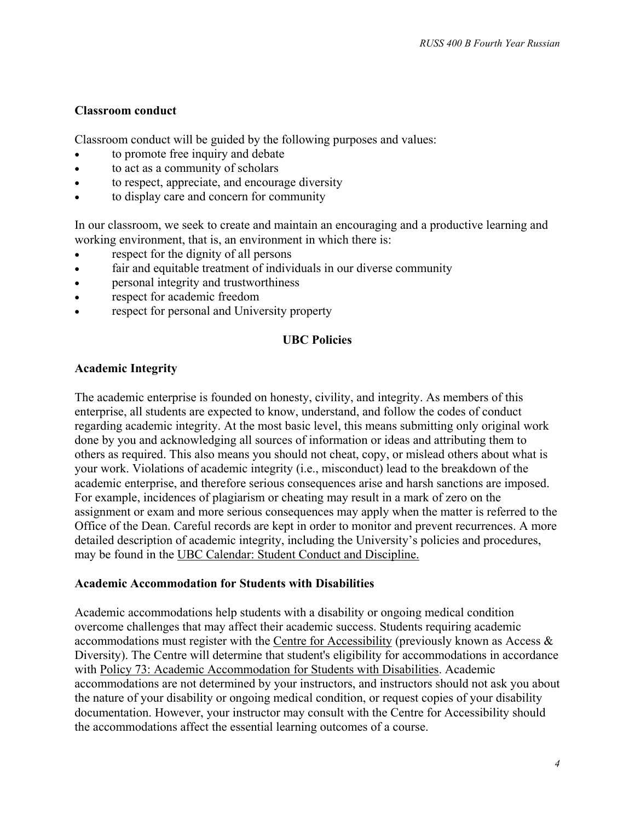#### **Classroom conduct**

Classroom conduct will be guided by the following purposes and values:

- to promote free inquiry and debate
- to act as a community of scholars
- to respect, appreciate, and encourage diversity
- to display care and concern for community

In our classroom, we seek to create and maintain an encouraging and a productive learning and working environment, that is, an environment in which there is:

- respect for the dignity of all persons
- fair and equitable treatment of individuals in our diverse community
- personal integrity and trustworthiness
- respect for academic freedom
- respect for personal and University property

### **UBC Policies**

### **Academic Integrity**

The academic enterprise is founded on honesty, civility, and integrity. As members of this enterprise, all students are expected to know, understand, and follow the codes of conduct regarding academic integrity. At the most basic level, this means submitting only original work done by you and acknowledging all sources of information or ideas and attributing them to others as required. This also means you should not cheat, copy, or mislead others about what is your work. Violations of academic integrity (i.e., misconduct) lead to the breakdown of the academic enterprise, and therefore serious consequences arise and harsh sanctions are imposed. For example, incidences of plagiarism or cheating may result in a mark of zero on the assignment or exam and more serious consequences may apply when the matter is referred to the Office of the Dean. Careful records are kept in order to monitor and prevent recurrences. A more detailed description of academic integrity, including the University's policies and procedures, may be found in the [UBC Calendar: Student Conduct and Discipline.](http://www.calendar.ubc.ca/vancouver/index.cfm?tree=3,54,0,0)

#### **Academic Accommodation for Students with Disabilities**

Academic accommodations help students with a disability or ongoing medical condition overcome challenges that may affect their academic success. Students requiring academic accommodations must register with the [Centre for Accessibility](https://students.ubc.ca/about-student-services/centre-for-accessibility) (previously known as Access & Diversity). The Centre will determine that student's eligibility for accommodations in accordance with [Policy 73: Academic Accommodation for Students with Disabilities.](http://www.universitycounsel.ubc.ca/files/2010/08/policy73.pdf) Academic accommodations are not determined by your instructors, and instructors should not ask you about the nature of your disability or ongoing medical condition, or request copies of your disability documentation. However, your instructor may consult with the Centre for Accessibility should the accommodations affect the essential learning outcomes of a course.